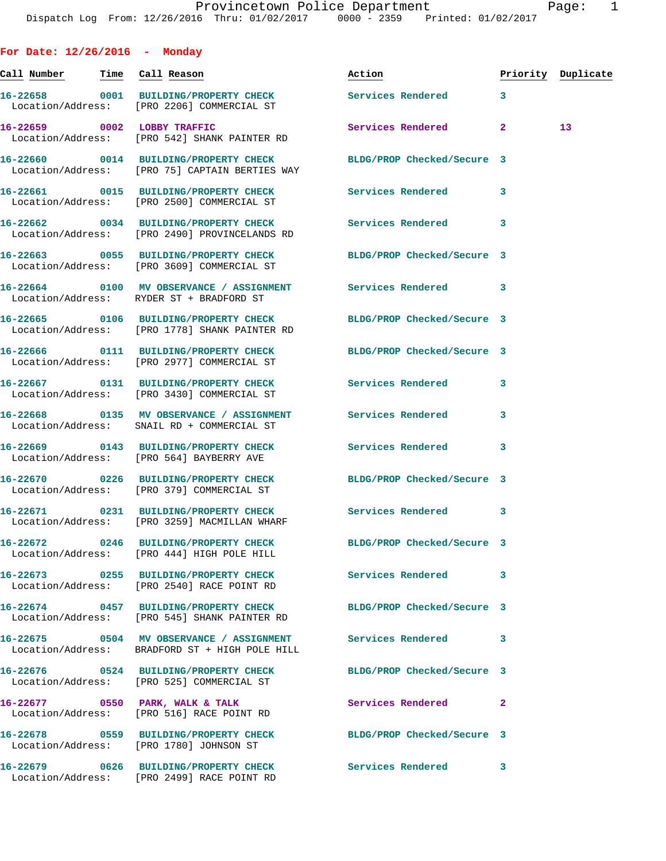| For Date: $12/26/2016$ - Monday       |                                                                                                                   |                            |              |                    |
|---------------------------------------|-------------------------------------------------------------------------------------------------------------------|----------------------------|--------------|--------------------|
| <u>Call Number — Time Call Reason</u> |                                                                                                                   | Action                     |              | Priority Duplicate |
|                                       | 16-22658 0001 BUILDING/PROPERTY CHECK Services Rendered 3<br>Location/Address: [PRO 2206] COMMERCIAL ST           |                            |              |                    |
|                                       | 16-22659 0002 LOBBY TRAFFIC<br>Location/Address: [PRO 542] SHANK PAINTER RD                                       | Services Rendered 2        |              | 13                 |
|                                       | 16-22660 0014 BUILDING/PROPERTY CHECK<br>Location/Address: [PRO 75] CAPTAIN BERTIES WAY                           | BLDG/PROP Checked/Secure 3 |              |                    |
|                                       | 16-22661 0015 BUILDING/PROPERTY CHECK Services Rendered<br>Location/Address: [PRO 2500] COMMERCIAL ST             |                            | 3            |                    |
|                                       | 16-22662 0034 BUILDING/PROPERTY CHECK Services Rendered 3<br>Location/Address: [PRO 2490] PROVINCELANDS RD        |                            |              |                    |
|                                       | 16-22663 0055 BUILDING/PROPERTY CHECK BLDG/PROP Checked/Secure 3<br>Location/Address: [PRO 3609] COMMERCIAL ST    |                            |              |                    |
|                                       | 16-22664 0100 MV OBSERVANCE / ASSIGNMENT Services Rendered 3<br>Location/Address: RYDER ST + BRADFORD ST          |                            |              |                    |
|                                       | 16-22665 0106 BUILDING/PROPERTY CHECK BLDG/PROP Checked/Secure 3<br>Location/Address: [PRO 1778] SHANK PAINTER RD |                            |              |                    |
|                                       | 16-22666 0111 BUILDING/PROPERTY CHECK BLDG/PROP Checked/Secure 3<br>Location/Address: [PRO 2977] COMMERCIAL ST    |                            |              |                    |
|                                       | 16-22667 0131 BUILDING/PROPERTY CHECK Services Rendered<br>Location/Address: [PRO 3430] COMMERCIAL ST             |                            | $\mathbf{3}$ |                    |
|                                       | 16-22668 0135 MV OBSERVANCE / ASSIGNMENT Services Rendered<br>Location/Address: SNAIL RD + COMMERCIAL ST          |                            | 3            |                    |
|                                       | 16-22669 0143 BUILDING/PROPERTY CHECK Services Rendered<br>Location/Address: [PRO 564] BAYBERRY AVE               |                            | 3            |                    |
|                                       | 16-22670 0226 BUILDING/PROPERTY CHECK<br>Location/Address: [PRO 379] COMMERCIAL ST                                | BLDG/PROP Checked/Secure 3 |              |                    |
|                                       | 16-22671 0231 BUILDING/PROPERTY CHECK Services Rendered 3<br>Location/Address: [PRO 3259] MACMILLAN WHARF         |                            |              |                    |
|                                       | 16-22672 0246 BUILDING/PROPERTY CHECK BLDG/PROP Checked/Secure 3<br>Location/Address: [PRO 444] HIGH POLE HILL    |                            |              |                    |
|                                       | 16-22673 0255 BUILDING/PROPERTY CHECK Services Rendered<br>Location/Address: [PRO 2540] RACE POINT RD             |                            | 3            |                    |
|                                       | 16-22674 0457 BUILDING/PROPERTY CHECK BLDG/PROP Checked/Secure 3<br>Location/Address: [PRO 545] SHANK PAINTER RD  |                            |              |                    |
|                                       | 16-22675 0504 MV OBSERVANCE / ASSIGNMENT<br>Location/Address: BRADFORD ST + HIGH POLE HILL                        | <b>Services Rendered</b>   | 3            |                    |
|                                       | 16-22676 0524 BUILDING/PROPERTY CHECK BLDG/PROP Checked/Secure 3<br>Location/Address: [PRO 525] COMMERCIAL ST     |                            |              |                    |
|                                       | 16-22677 0550 PARK, WALK & TALK<br>Location/Address: [PRO 516] RACE POINT RD                                      | Services Rendered          | 2            |                    |
|                                       | 16-22678 0559 BUILDING/PROPERTY CHECK BLDG/PROP Checked/Secure 3<br>Location/Address: [PRO 1780] JOHNSON ST       |                            |              |                    |
|                                       | 16-22679 0626 BUILDING/PROPERTY CHECK<br>Location/Address: [PRO 2499] RACE POINT RD                               | Services Rendered          | 3            |                    |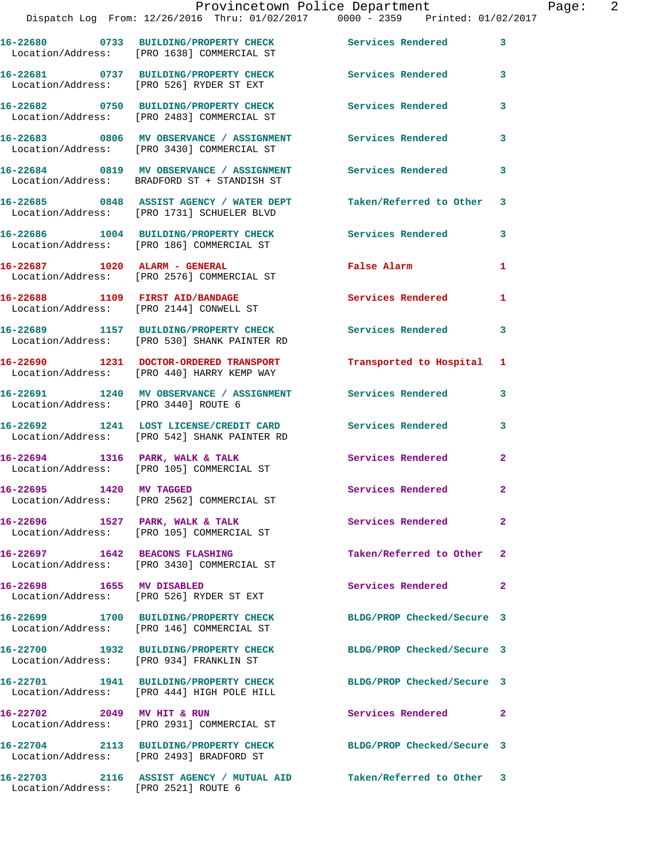|                                      | Provincetown Police Department<br>Dispatch Log From: 12/26/2016 Thru: 01/02/2017 0000 - 2359 Printed: 01/02/2017 |                            |                |
|--------------------------------------|------------------------------------------------------------------------------------------------------------------|----------------------------|----------------|
|                                      | 16-22680 0733 BUILDING/PROPERTY CHECK<br>Location/Address: [PRO 1638] COMMERCIAL ST                              | Services Rendered          | 3              |
|                                      | 16-22681 0737 BUILDING/PROPERTY CHECK<br>Location/Address: [PRO 526] RYDER ST EXT                                | Services Rendered          | 3              |
|                                      | 16-22682 0750 BUILDING/PROPERTY CHECK<br>Location/Address: [PRO 2483] COMMERCIAL ST                              | <b>Services Rendered</b>   | 3              |
|                                      | 16-22683 0806 MV OBSERVANCE / ASSIGNMENT Services Rendered<br>Location/Address: [PRO 3430] COMMERCIAL ST         |                            | 3              |
|                                      | 16-22684 0819 MV OBSERVANCE / ASSIGNMENT<br>Location/Address: BRADFORD ST + STANDISH ST                          | <b>Services Rendered</b>   | 3              |
|                                      | 16-22685 0848 ASSIST AGENCY / WATER DEPT<br>Location/Address: [PRO 1731] SCHUELER BLVD                           | Taken/Referred to Other    | 3              |
|                                      | 16-22686 1004 BUILDING/PROPERTY CHECK<br>Location/Address: [PRO 186] COMMERCIAL ST                               | <b>Services Rendered</b>   | 3              |
|                                      | 16-22687 1020 ALARM - GENERAL<br>Location/Address: [PRO 2576] COMMERCIAL ST                                      | <b>False Alarm</b>         | 1              |
|                                      | 16-22688 1109 FIRST AID/BANDAGE<br>Location/Address: [PRO 2144] CONWELL ST                                       | Services Rendered          | 1              |
|                                      | 16-22689 1157 BUILDING/PROPERTY CHECK<br>Location/Address: [PRO 530] SHANK PAINTER RD                            | <b>Services Rendered</b>   | 3              |
|                                      | 16-22690 1231 DOCTOR-ORDERED TRANSPORT<br>Location/Address: [PRO 440] HARRY KEMP WAY                             | Transported to Hospital    | 1              |
| Location/Address: [PRO 3440] ROUTE 6 | 16-22691 1240 MV OBSERVANCE / ASSIGNMENT Services Rendered                                                       |                            | 3              |
|                                      | 16-22692 1241 LOST LICENSE/CREDIT CARD<br>Location/Address: [PRO 542] SHANK PAINTER RD                           | <b>Services Rendered</b>   | 3              |
|                                      | 16-22694 1316 PARK, WALK & TALK<br>Location/Address: [PRO 105] COMMERCIAL ST                                     | Services Rendered          | $\overline{a}$ |
| 16-22695 1420 MV TAGGED              | Location/Address: [PRO 2562] COMMERCIAL ST                                                                       | Services Rendered          |                |
|                                      | 16-22696 1527 PARK, WALK & TALK<br>Location/Address: [PRO 105] COMMERCIAL ST                                     | Services Rendered          | 2              |
| 16-22697 1642 BEACONS FLASHING       | Location/Address: [PRO 3430] COMMERCIAL ST                                                                       | Taken/Referred to Other    | $\mathbf{2}$   |
| 16-22698 1655 MV DISABLED            | Location/Address: [PRO 526] RYDER ST EXT                                                                         | Services Rendered          | $\mathbf{2}$   |
|                                      | 16-22699 1700 BUILDING/PROPERTY CHECK<br>Location/Address: [PRO 146] COMMERCIAL ST                               | BLDG/PROP Checked/Secure 3 |                |
|                                      | 16-22700 1932 BUILDING/PROPERTY CHECK<br>Location/Address: [PRO 934] FRANKLIN ST                                 | BLDG/PROP Checked/Secure 3 |                |
|                                      | 16-22701 1941 BUILDING/PROPERTY CHECK BLDG/PROP Checked/Secure 3<br>Location/Address: [PRO 444] HIGH POLE HILL   |                            |                |
| 16-22702 2049 MV HIT & RUN           | Location/Address: [PRO 2931] COMMERCIAL ST                                                                       | Services Rendered          | 2              |
|                                      | 16-22704 2113 BUILDING/PROPERTY CHECK<br>Location/Address: [PRO 2493] BRADFORD ST                                | BLDG/PROP Checked/Secure 3 |                |

**16-22703 2116 ASSIST AGENCY / MUTUAL AID Taken/Referred to Other 3** 

Location/Address: [PRO 2521] ROUTE 6

Page:  $2 \nvert$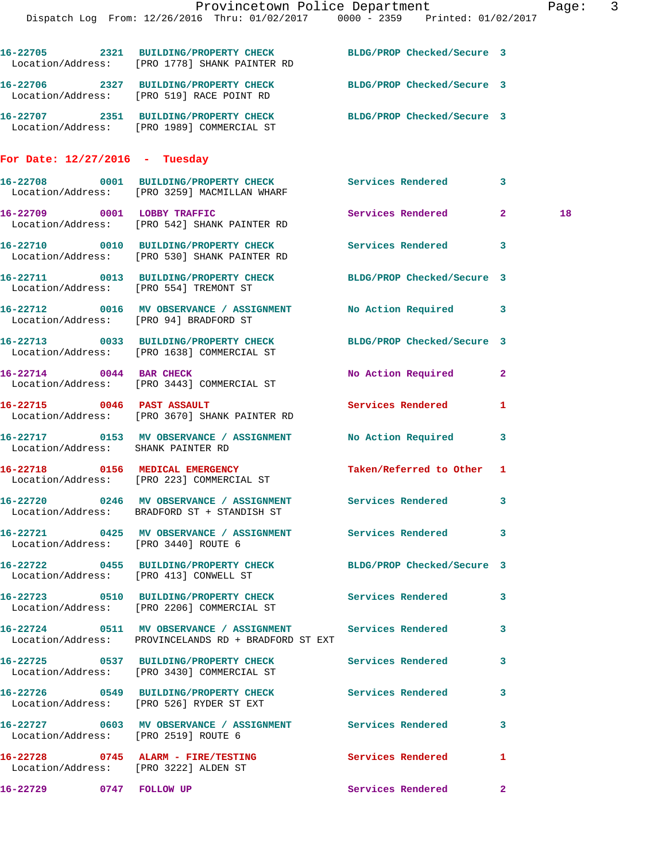|                                        |                                                                                                                   | Provincetown Police Department |    | Page: | $\overline{3}$ |
|----------------------------------------|-------------------------------------------------------------------------------------------------------------------|--------------------------------|----|-------|----------------|
|                                        | Dispatch Log From: 12/26/2016 Thru: 01/02/2017 0000 - 2359 Printed: 01/02/2017                                    |                                |    |       |                |
|                                        | 16-22705 2321 BUILDING/PROPERTY CHECK BLDG/PROP Checked/Secure 3<br>Location/Address: [PRO 1778] SHANK PAINTER RD |                                |    |       |                |
|                                        | 16-22706 2327 BUILDING/PROPERTY CHECK BLDG/PROP Checked/Secure 3<br>Location/Address: [PRO 519] RACE POINT RD     |                                |    |       |                |
|                                        | 16-22707 2351 BUILDING/PROPERTY CHECK BLDG/PROP Checked/Secure 3<br>Location/Address: [PRO 1989] COMMERCIAL ST    |                                |    |       |                |
| For Date: $12/27/2016$ - Tuesday       |                                                                                                                   |                                |    |       |                |
|                                        | 16-22708 0001 BUILDING/PROPERTY CHECK Services Rendered 3<br>Location/Address: [PRO 3259] MACMILLAN WHARF         |                                |    |       |                |
|                                        | 16-22709 0001 LOBBY TRAFFIC<br>Location/Address: [PRO 542] SHANK PAINTER RD                                       | Services Rendered 2            |    | 18    |                |
|                                        | 16-22710 0010 BUILDING/PROPERTY CHECK Services Rendered 3<br>Location/Address: [PRO 530] SHANK PAINTER RD         |                                |    |       |                |
| Location/Address: [PRO 554] TREMONT ST | 16-22711 0013 BUILDING/PROPERTY CHECK BLDG/PROP Checked/Secure 3                                                  |                                |    |       |                |
|                                        | 16-22712 0016 MV OBSERVANCE / ASSIGNMENT No Action Required 3<br>Location/Address: [PRO 94] BRADFORD ST           |                                |    |       |                |
|                                        | 16-22713 0033 BUILDING/PROPERTY CHECK BLDG/PROP Checked/Secure 3<br>Location/Address: [PRO 1638] COMMERCIAL ST    |                                |    |       |                |
| 16-22714 0044 BAR CHECK                | Location/Address: [PRO 3443] COMMERCIAL ST                                                                        | No Action Required 2           |    |       |                |
|                                        | 16-22715 0046 PAST ASSAULT<br>Location/Address: [PRO 3670] SHANK PAINTER RD                                       | Services Rendered 1            |    |       |                |
|                                        | 16-22717 0153 MV OBSERVANCE / ASSIGNMENT No Action Required                                                       |                                | 3  |       |                |
| Location/Address: SHANK PAINTER RD     | 16-22718 0156 MEDICAL EMERGENCY                                                                                   | Taken/Referred to Other 1      |    |       |                |
|                                        | Location/Address: [PRO 223] COMMERCIAL ST<br>16-22720 0246 MV OBSERVANCE / ASSIGNMENT Services Rendered 3         |                                |    |       |                |
|                                        | Location/Address: BRADFORD ST + STANDISH ST<br>16-22721 0425 MV OBSERVANCE / ASSIGNMENT Services Rendered         |                                | -3 |       |                |
| Location/Address: [PRO 3440] ROUTE 6   | 16-22722 0455 BUILDING/PROPERTY CHECK BLDG/PROP Checked/Secure 3                                                  |                                |    |       |                |
| Location/Address: [PRO 413] CONWELL ST |                                                                                                                   |                                |    |       |                |
|                                        | 16-22723 0510 BUILDING/PROPERTY CHECK<br>Location/Address: [PRO 2206] COMMERCIAL ST                               | Services Rendered              | 3  |       |                |
|                                        | 16-22724 0511 MV OBSERVANCE / ASSIGNMENT<br>Location/Address: PROVINCELANDS RD + BRADFORD ST EXT                  | Services Rendered              | 3  |       |                |
|                                        | 16-22725 0537 BUILDING/PROPERTY CHECK<br>Location/Address: [PRO 3430] COMMERCIAL ST                               | Services Rendered              | 3  |       |                |
|                                        | 16-22726 0549 BUILDING/PROPERTY CHECK Services Rendered<br>Location/Address: [PRO 526] RYDER ST EXT               |                                | 3  |       |                |
| Location/Address: [PRO 2519] ROUTE 6   | 16-22727 0603 MV OBSERVANCE / ASSIGNMENT Services Rendered                                                        |                                | 3  |       |                |
| Location/Address: [PRO 3222] ALDEN ST  | 16-22728 0745 ALARM - FIRE/TESTING Services Rendered 1                                                            |                                |    |       |                |

**16-22729 0747 FOLLOW UP Services Rendered 2**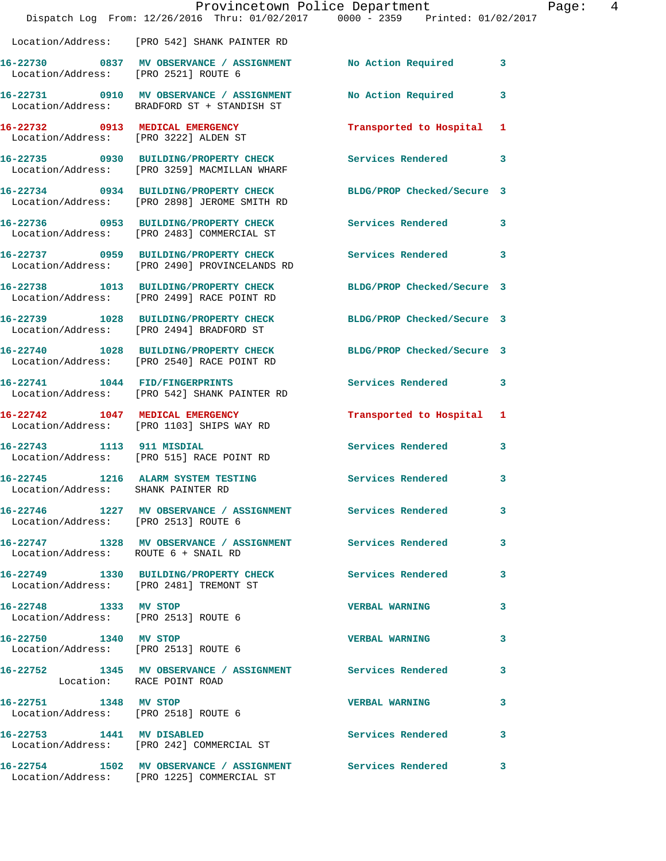|                                                               | Dispatch Log From: 12/26/2016 Thru: 01/02/2017 0000 - 2359 Printed: 01/02/2017                               | Provincetown Police Department | Page: 4      |
|---------------------------------------------------------------|--------------------------------------------------------------------------------------------------------------|--------------------------------|--------------|
|                                                               | Location/Address: [PRO 542] SHANK PAINTER RD                                                                 |                                |              |
|                                                               | 16-22730 0837 MV OBSERVANCE / ASSIGNMENT No Action Required 3<br>Location/Address: [PRO 2521] ROUTE 6        |                                |              |
|                                                               | 16-22731 0910 MV OBSERVANCE / ASSIGNMENT<br>Location/Address: BRADFORD ST + STANDISH ST                      | No Action Required 3           |              |
|                                                               | 16-22732 0913 MEDICAL EMERGENCY<br>Location/Address: [PRO 3222] ALDEN ST                                     | Transported to Hospital 1      |              |
|                                                               | 16-22735 0930 BUILDING/PROPERTY CHECK Services Rendered 3<br>Location/Address: [PRO 3259] MACMILLAN WHARF    |                                |              |
|                                                               | 16-22734 0934 BUILDING/PROPERTY CHECK<br>Location/Address: [PRO 2898] JEROME SMITH RD                        | BLDG/PROP Checked/Secure 3     |              |
|                                                               | 16-22736 0953 BUILDING/PROPERTY CHECK Services Rendered 3<br>Location/Address: [PRO 2483] COMMERCIAL ST      |                                |              |
|                                                               | 16-22737 0959 BUILDING/PROPERTY CHECK Services Rendered 3<br>Location/Address: [PRO 2490] PROVINCELANDS RD   |                                |              |
|                                                               | 16-22738 1013 BUILDING/PROPERTY CHECK<br>Location/Address: [PRO 2499] RACE POINT RD                          | BLDG/PROP Checked/Secure 3     |              |
|                                                               | 16-22739 1028 BUILDING/PROPERTY CHECK BLDG/PROP Checked/Secure 3<br>Location/Address: [PRO 2494] BRADFORD ST |                                |              |
|                                                               | 16-22740 1028 BUILDING/PROPERTY CHECK<br>Location/Address: [PRO 2540] RACE POINT RD                          | BLDG/PROP Checked/Secure 3     |              |
| 16-22741 1044 FID/FINGERPRINTS                                | Location/Address: [PRO 542] SHANK PAINTER RD                                                                 | Services Rendered 3            |              |
|                                                               | 16-22742 1047 MEDICAL EMERGENCY<br>Location/Address: [PRO 1103] SHIPS WAY RD                                 | Transported to Hospital 1      |              |
| 16-22743 1113 911 MISDIAL                                     | Location/Address: [PRO 515] RACE POINT RD                                                                    | Services Rendered              | $\mathbf{3}$ |
| Location/Address:                                             | 16-22745 1216 ALARM SYSTEM TESTING<br>SHANK PAINTER RD                                                       | Services Rendered 3            |              |
| Location/Address: [PRO 2513] ROUTE 6                          | 16-22746 1227 MV OBSERVANCE / ASSIGNMENT Services Rendered 3                                                 |                                |              |
| Location/Address: ROUTE 6 + SNAIL RD                          | 16-22747 1328 MV OBSERVANCE / ASSIGNMENT Services Rendered 3                                                 |                                |              |
|                                                               | 16-22749 1330 BUILDING/PROPERTY CHECK Services Rendered 3<br>Location/Address: [PRO 2481] TREMONT ST         |                                |              |
| 16-22748 1333 MV STOP<br>Location/Address: [PRO 2513] ROUTE 6 |                                                                                                              | VERBAL WARNING 3               |              |
| 16-22750 1340 MV STOP                                         | Location/Address: [PRO 2513] ROUTE 6                                                                         | VERBAL WARNING 3               |              |
| Location: RACE POINT ROAD                                     | 16-22752 1345 MV OBSERVANCE / ASSIGNMENT Services Rendered 3                                                 |                                |              |
| 16-22751 1348 MV STOP                                         | Location/Address: [PRO 2518] ROUTE 6                                                                         | VERBAL WARNING 3               |              |
|                                                               | 16-22753 1441 MV DISABLED<br>Location/Address: [PRO 242] COMMERCIAL ST                                       | Services Rendered 3            |              |
|                                                               | 16-22754 1502 MV OBSERVANCE / ASSIGNMENT Services Rendered 3<br>Location/Address: [PRO 1225] COMMERCIAL ST   |                                |              |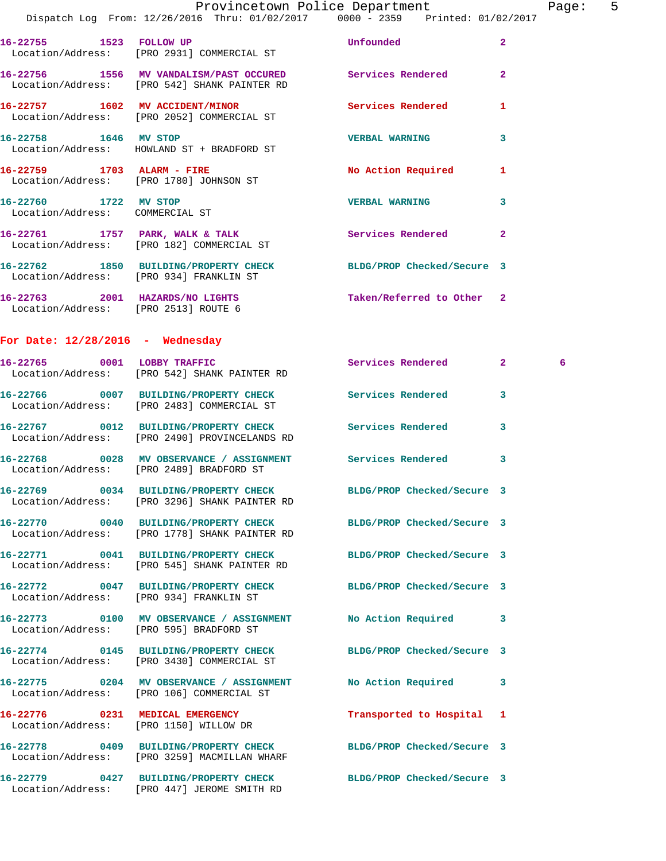|                                                          | Dispatch Log From: 12/26/2016 Thru: 01/02/2017 0000 - 2359 Printed: 01/02/2017                                    | Provincetown Police Department |              | Page: 5 |  |
|----------------------------------------------------------|-------------------------------------------------------------------------------------------------------------------|--------------------------------|--------------|---------|--|
|                                                          | 16-22755 1523 FOLLOW UP<br>Location/Address: [PRO 2931] COMMERCIAL ST                                             | <b>Unfounded</b>               | $\mathbf{2}$ |         |  |
|                                                          | 16-22756 1556 MV VANDALISM/PAST OCCURED Services Rendered<br>Location/Address: [PRO 542] SHANK PAINTER RD         |                                | $\mathbf{2}$ |         |  |
|                                                          | 16-22757 1602 MV ACCIDENT/MINOR<br>Location/Address: [PRO 2052] COMMERCIAL ST                                     | Services Rendered              | 1            |         |  |
| 16-22758 1646 MV STOP                                    | Location/Address: HOWLAND ST + BRADFORD ST                                                                        | <b>VERBAL WARNING</b>          | 3            |         |  |
|                                                          | 16-22759 1703 ALARM - FIRE<br>Location/Address: [PRO 1780] JOHNSON ST                                             | No Action Required 1           |              |         |  |
| 16-22760 1722 MV STOP<br>Location/Address: COMMERCIAL ST |                                                                                                                   | <b>VERBAL WARNING</b>          | 3            |         |  |
|                                                          | 16-22761 1757 PARK, WALK & TALK Services Rendered<br>Location/Address: [PRO 182] COMMERCIAL ST                    |                                | $\mathbf{2}$ |         |  |
|                                                          | 16-22762 1850 BUILDING/PROPERTY CHECK BLDG/PROP Checked/Secure 3<br>Location/Address: [PRO 934] FRANKLIN ST       |                                |              |         |  |
| Location/Address: [PRO 2513] ROUTE 6                     | 16-22763 2001 HAZARDS/NO LIGHTS Taken/Referred to Other 2                                                         |                                |              |         |  |
| For Date: $12/28/2016$ - Wednesday                       |                                                                                                                   |                                |              |         |  |
|                                                          | 16-22765 0001 LOBBY TRAFFIC<br>Location/Address: [PRO 542] SHANK PAINTER RD                                       | Services Rendered 2            |              | 6       |  |
|                                                          | 16-22766 0007 BUILDING/PROPERTY CHECK<br>Location/Address: [PRO 2483] COMMERCIAL ST                               | <b>Services Rendered</b>       | 3            |         |  |
|                                                          | 16-22767 0012 BUILDING/PROPERTY CHECK Services Rendered<br>Location/Address: [PRO 2490] PROVINCELANDS RD          |                                | $\mathbf{3}$ |         |  |
|                                                          | 16-22768 0028 MV OBSERVANCE / ASSIGNMENT Services Rendered<br>Location/Address: [PRO 2489] BRADFORD ST            |                                | 3            |         |  |
|                                                          | 16-22769 0034 BUILDING/PROPERTY CHECK<br>Location/Address: [PRO 3296] SHANK PAINTER RD                            | BLDG/PROP Checked/Secure 3     |              |         |  |
|                                                          | 16-22770 0040 BUILDING/PROPERTY CHECK BLDG/PROP Checked/Secure 3<br>Location/Address: [PRO 1778] SHANK PAINTER RD |                                |              |         |  |
|                                                          | 16-22771 0041 BUILDING/PROPERTY CHECK<br>Location/Address: [PRO 545] SHANK PAINTER RD                             | BLDG/PROP Checked/Secure 3     |              |         |  |
|                                                          | 16-22772 0047 BUILDING/PROPERTY CHECK BLDG/PROP Checked/Secure 3<br>Location/Address: [PRO 934] FRANKLIN ST       |                                |              |         |  |
|                                                          | 16-22773 0100 MV OBSERVANCE / ASSIGNMENT No Action Required 3<br>Location/Address: [PRO 595] BRADFORD ST          |                                |              |         |  |
|                                                          | 16-22774 0145 BUILDING/PROPERTY CHECK BLDG/PROP Checked/Secure 3<br>Location/Address: [PRO 3430] COMMERCIAL ST    |                                |              |         |  |
|                                                          | 16-22775 0204 MV OBSERVANCE / ASSIGNMENT No Action Required 3<br>Location/Address: [PRO 106] COMMERCIAL ST        |                                |              |         |  |
|                                                          | 16-22776 0231 MEDICAL EMERGENCY<br>Location/Address: [PRO 1150] WILLOW DR                                         | Transported to Hospital 1      |              |         |  |
|                                                          | 16-22778 0409 BUILDING/PROPERTY CHECK BLDG/PROP Checked/Secure 3                                                  |                                |              |         |  |

Location/Address: [PRO 3259] MACMILLAN WHARF

**16-22779 0427 BUILDING/PROPERTY CHECK BLDG/PROP Checked/Secure 3**  Location/Address: [PRO 447] JEROME SMITH RD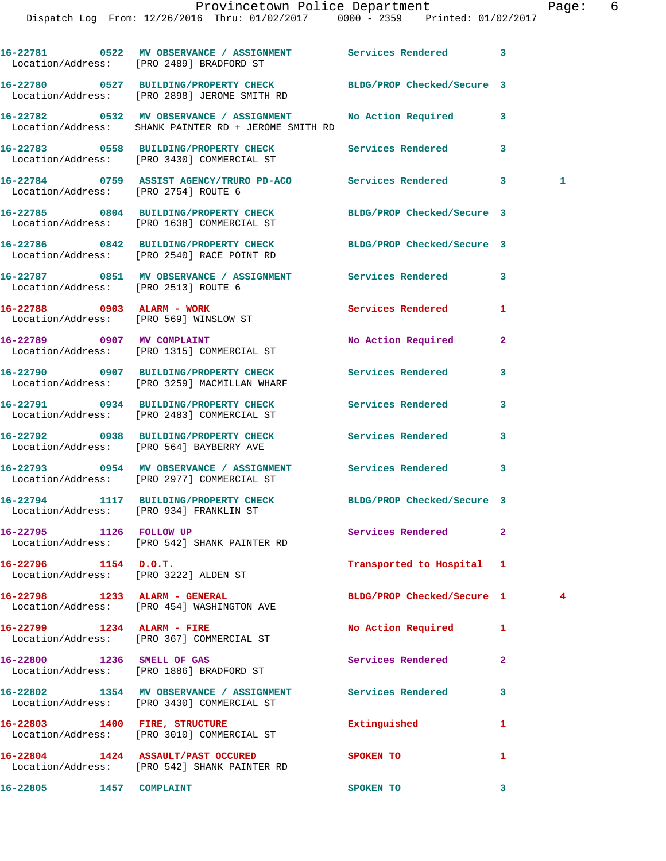|                                      | 16-22781 0522 MV OBSERVANCE / ASSIGNMENT Services Rendered<br>Location/Address: [PRO 2489] BRADFORD ST              |                            | 3                       |   |
|--------------------------------------|---------------------------------------------------------------------------------------------------------------------|----------------------------|-------------------------|---|
|                                      | 16-22780 0527 BUILDING/PROPERTY CHECK BLDG/PROP Checked/Secure 3<br>Location/Address: [PRO 2898] JEROME SMITH RD    |                            |                         |   |
|                                      | 16-22782 0532 MV OBSERVANCE / ASSIGNMENT No Action Required<br>Location/Address: SHANK PAINTER RD + JEROME SMITH RD |                            | 3                       |   |
|                                      | 16-22783 0558 BUILDING/PROPERTY CHECK<br>Location/Address: [PRO 3430] COMMERCIAL ST                                 | Services Rendered          | 3                       |   |
| Location/Address: [PRO 2754] ROUTE 6 | 16-22784 0759 ASSIST AGENCY/TRURO PD-ACO Services Rendered                                                          |                            | 3 <sup>1</sup>          | 1 |
|                                      | 16-22785 0804 BUILDING/PROPERTY CHECK<br>Location/Address: [PRO 1638] COMMERCIAL ST                                 | BLDG/PROP Checked/Secure 3 |                         |   |
|                                      | 16-22786 0842 BUILDING/PROPERTY CHECK BLDG/PROP Checked/Secure 3<br>Location/Address: [PRO 2540] RACE POINT RD      |                            |                         |   |
| Location/Address: [PRO 2513] ROUTE 6 | 16-22787 0851 MV OBSERVANCE / ASSIGNMENT Services Rendered                                                          |                            | 3                       |   |
| 16-22788 0903 ALARM - WORK           | Location/Address: [PRO 569] WINSLOW ST                                                                              | Services Rendered          | 1                       |   |
|                                      | 16-22789 0907 MV COMPLAINT<br>Location/Address: [PRO 1315] COMMERCIAL ST                                            | No Action Required         | $\mathbf{2}$            |   |
|                                      | 16-22790 0907 BUILDING/PROPERTY CHECK<br>Location/Address: [PRO 3259] MACMILLAN WHARF                               | Services Rendered          | 3                       |   |
|                                      | 16-22791 0934 BUILDING/PROPERTY CHECK<br>Location/Address: [PRO 2483] COMMERCIAL ST                                 | Services Rendered          | 3                       |   |
|                                      | 16-22792 0938 BUILDING/PROPERTY CHECK Services Rendered<br>Location/Address: [PRO 564] BAYBERRY AVE                 |                            | 3                       |   |
|                                      | 16-22793 0954 MV OBSERVANCE / ASSIGNMENT Services Rendered<br>Location/Address: [PRO 2977] COMMERCIAL ST            |                            | 3                       |   |
|                                      | 16-22794 1117 BUILDING/PROPERTY CHECK<br>Location/Address: [PRO 934] FRANKLIN ST                                    | BLDG/PROP Checked/Secure 3 |                         |   |
| 16-22795 1126 FOLLOW UP              | Location/Address: [PRO 542] SHANK PAINTER RD                                                                        | Services Rendered          | $\mathbf{2}$            |   |
| $16 - 22796$ 1154 D.O.T.             | Location/Address: [PRO 3222] ALDEN ST                                                                               | Transported to Hospital 1  |                         |   |
|                                      | 16-22798 1233 ALARM - GENERAL<br>Location/Address: [PRO 454] WASHINGTON AVE                                         | BLDG/PROP Checked/Secure 1 | $\overline{\mathbf{4}}$ |   |
| 16-22799 1234 ALARM - FIRE           | Location/Address: [PRO 367] COMMERCIAL ST                                                                           | <b>No Action Required</b>  | 1                       |   |
| 16-22800 1236 SMELL OF GAS           | Location/Address: [PRO 1886] BRADFORD ST                                                                            | Services Rendered          | $\overline{a}$          |   |
|                                      | 16-22802 1354 MV OBSERVANCE / ASSIGNMENT Services Rendered<br>Location/Address: [PRO 3430] COMMERCIAL ST            |                            | 3                       |   |
|                                      | 16-22803 1400 FIRE, STRUCTURE<br>Location/Address: [PRO 3010] COMMERCIAL ST                                         | Extinguished               | 1                       |   |
|                                      | 16-22804 1424 ASSAULT/PAST OCCURED<br>Location/Address: [PRO 542] SHANK PAINTER RD                                  | SPOKEN TO                  | 1                       |   |
| 16-22805 1457 COMPLAINT              |                                                                                                                     | SPOKEN TO                  | 3                       |   |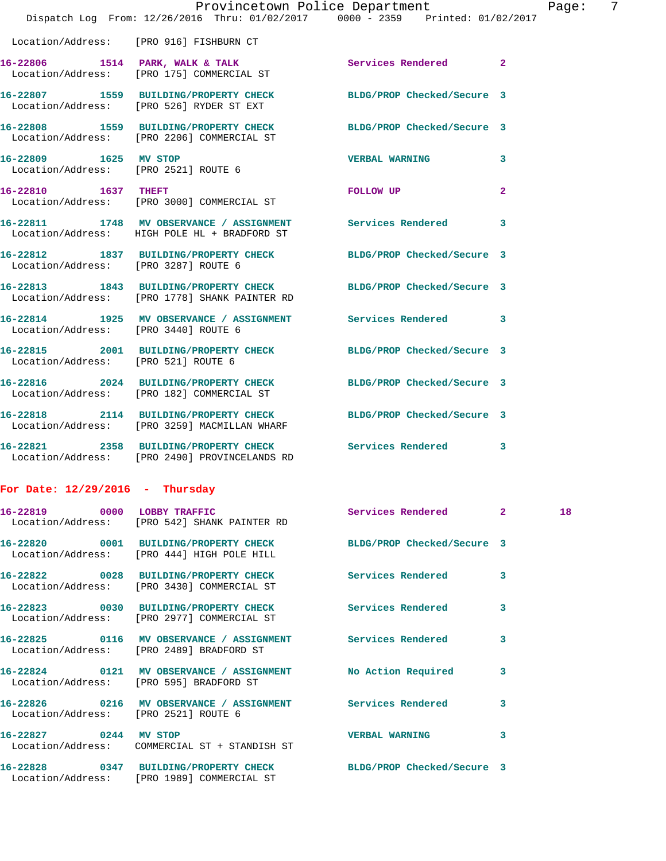|                                      | Dispatch Log From: 12/26/2016 Thru: 01/02/2017 0000 - 2359 Printed: 01/02/2017                                    | Provincetown Police Department The Page: |              | 7 |
|--------------------------------------|-------------------------------------------------------------------------------------------------------------------|------------------------------------------|--------------|---|
|                                      | Location/Address: [PRO 916] FISHBURN CT                                                                           |                                          |              |   |
|                                      | 16-22806 1514 PARK, WALK & TALK Services Rendered 2<br>Location/Address: [PRO 175] COMMERCIAL ST                  |                                          |              |   |
|                                      | 16-22807 1559 BUILDING/PROPERTY CHECK BLDG/PROP Checked/Secure 3<br>Location/Address: [PRO 526] RYDER ST EXT      |                                          |              |   |
|                                      | 16-22808 1559 BUILDING/PROPERTY CHECK BLDG/PROP Checked/Secure 3<br>Location/Address: [PRO 2206] COMMERCIAL ST    |                                          |              |   |
| 16-22809 1625 MV STOP                | Location/Address: [PRO 2521] ROUTE 6                                                                              | <b>VERBAL WARNING</b>                    | 3            |   |
| 16-22810 1637 THEFT                  | Location/Address: [PRO 3000] COMMERCIAL ST                                                                        | FOLLOW UP                                | $\mathbf{2}$ |   |
|                                      | 16-22811 1748 MV OBSERVANCE / ASSIGNMENT Services Rendered<br>Location/Address: HIGH POLE HL + BRADFORD ST        |                                          | 3            |   |
| Location/Address: [PRO 3287] ROUTE 6 | 16-22812 1837 BUILDING/PROPERTY CHECK BLDG/PROP Checked/Secure 3                                                  |                                          |              |   |
|                                      | 16-22813 1843 BUILDING/PROPERTY CHECK BLDG/PROP Checked/Secure 3<br>Location/Address: [PRO 1778] SHANK PAINTER RD |                                          |              |   |
| Location/Address: [PRO 3440] ROUTE 6 | 16-22814 1925 MV OBSERVANCE / ASSIGNMENT Services Rendered 3                                                      |                                          |              |   |
| Location/Address: [PRO 521] ROUTE 6  | 16-22815 2001 BUILDING/PROPERTY CHECK BLDG/PROP Checked/Secure 3                                                  |                                          |              |   |
|                                      | 16-22816 2024 BUILDING/PROPERTY CHECK BLDG/PROP Checked/Secure 3<br>Location/Address: [PRO 182] COMMERCIAL ST     |                                          |              |   |
|                                      | 16-22818 2114 BUILDING/PROPERTY CHECK BLDG/PROP Checked/Secure 3<br>Location/Address: [PRO 3259] MACMILLAN WHARF  |                                          |              |   |
|                                      | 16-22821 2358 BUILDING/PROPERTY CHECK Services Rendered 3<br>Location/Address: [PRO 2490] PROVINCELANDS RD        |                                          |              |   |
| For Date: $12/29/2016$ - Thursday    |                                                                                                                   |                                          |              |   |
|                                      | 16-22819 0000 LOBBY TRAFFIC<br>Location/Address: [PRO 542] SHANK PAINTER RD                                       | Services Rendered 2                      | 18           |   |
|                                      | 16-22820 0001 BUILDING/PROPERTY CHECK BLDG/PROP Checked/Secure 3<br>Location/Address: [PRO 444] HIGH POLE HILL    |                                          |              |   |
|                                      | 16-22822 0028 BUILDING/PROPERTY CHECK Services Rendered<br>Location/Address: [PRO 3430] COMMERCIAL ST             |                                          | 3            |   |
|                                      | 16-22823 0030 BUILDING/PROPERTY CHECK Services Rendered<br>Location/Address: [PRO 2977] COMMERCIAL ST             |                                          | 3            |   |
|                                      | 16-22825 0116 MV OBSERVANCE / ASSIGNMENT Services Rendered<br>Location/Address: [PRO 2489] BRADFORD ST            |                                          | 3            |   |
|                                      | 16-22824 0121 MV OBSERVANCE / ASSIGNMENT<br>Location/Address: [PRO 595] BRADFORD ST                               | No Action Required                       | 3            |   |
| Location/Address: [PRO 2521] ROUTE 6 | 16-22826 0216 MV OBSERVANCE / ASSIGNMENT Services Rendered                                                        |                                          | 3            |   |
| 16-22827 0244 MV STOP                | Location/Address: COMMERCIAL ST + STANDISH ST                                                                     | <b>VERBAL WARNING</b>                    | 3            |   |
|                                      | 16-22828 0347 BUILDING/PROPERTY CHECK BLDG/PROP Checked/Secure 3<br>Location/Address: [PRO 1989] COMMERCIAL ST    |                                          |              |   |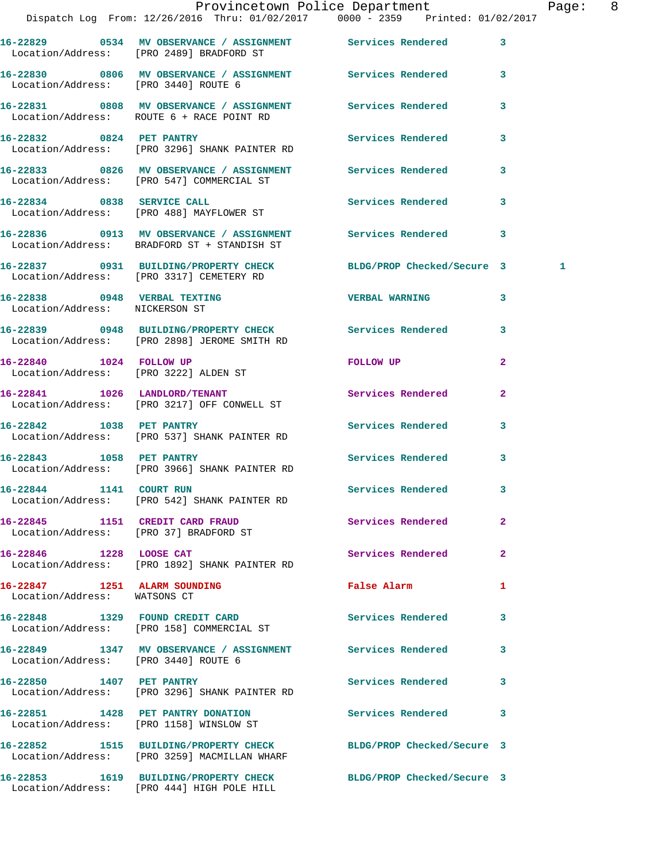|                                                              | Dispatch Log From: 12/26/2016 Thru: 01/02/2017 0000 - 2359 Printed: 01/02/2017                                   | Provincetown Police Department The Page: 8 |                |  |
|--------------------------------------------------------------|------------------------------------------------------------------------------------------------------------------|--------------------------------------------|----------------|--|
|                                                              | 16-22829 0534 MV OBSERVANCE / ASSIGNMENT Services Rendered<br>Location/Address: [PRO 2489] BRADFORD ST           |                                            | $\mathbf{3}$   |  |
| Location/Address: [PRO 3440] ROUTE 6                         | 16-22830 0806 MV OBSERVANCE / ASSIGNMENT Services Rendered 3                                                     |                                            |                |  |
|                                                              | 16-22831 0808 MV OBSERVANCE / ASSIGNMENT Services Rendered<br>Location/Address: ROUTE 6 + RACE POINT RD          |                                            | 3              |  |
|                                                              | 16-22832 0824 PET PANTRY<br>Location/Address: [PRO 3296] SHANK PAINTER RD                                        | <b>Services Rendered</b>                   | 3              |  |
|                                                              | 16-22833 0826 MV OBSERVANCE / ASSIGNMENT Services Rendered<br>Location/Address: [PRO 547] COMMERCIAL ST          |                                            | 3              |  |
|                                                              | 16-22834 0838 SERVICE CALL<br>Location/Address: [PRO 488] MAYFLOWER ST                                           | Services Rendered                          | 3              |  |
|                                                              | 16-22836 0913 MV OBSERVANCE / ASSIGNMENT Services Rendered 3<br>Location/Address: BRADFORD ST + STANDISH ST      |                                            |                |  |
|                                                              | 16-22837 0931 BUILDING/PROPERTY CHECK BLDG/PROP Checked/Secure 3<br>Location/Address: [PRO 3317] CEMETERY RD     |                                            | 1              |  |
| Location/Address: NICKERSON ST                               | 16-22838 0948 VERBAL TEXTING CHERET VERBAL WARNING 3                                                             |                                            |                |  |
|                                                              | 16-22839 0948 BUILDING/PROPERTY CHECK Services Rendered<br>Location/Address: [PRO 2898] JEROME SMITH RD          |                                            | 3              |  |
| 16-22840 1024 FOLLOW UP                                      | Location/Address: [PRO 3222] ALDEN ST                                                                            | FOLLOW UP                                  | $\overline{a}$ |  |
|                                                              | 16-22841 1026 LANDLORD/TENANT<br>Location/Address: [PRO 3217] OFF CONWELL ST                                     | <b>Services Rendered</b>                   | $\mathbf{2}$   |  |
| 16-22842 1038 PET PANTRY                                     | Location/Address: [PRO 537] SHANK PAINTER RD                                                                     | Services Rendered                          | 3              |  |
|                                                              | 16-22843 1058 PET PANTRY<br>Location/Address: [PRO 3966] SHANK PAINTER RD                                        | Services Rendered 3                        |                |  |
| 16-22844 1141 COURT RUN                                      | Location/Address: [PRO 542] SHANK PAINTER RD                                                                     | <b>Services Rendered</b>                   |                |  |
|                                                              | 16-22845 1151 CREDIT CARD FRAUD<br>Location/Address: [PRO 37] BRADFORD ST                                        | <b>Services Rendered</b>                   | $\overline{2}$ |  |
| 16-22846 1228 LOOSE CAT                                      | Location/Address: [PRO 1892] SHANK PAINTER RD                                                                    | Services Rendered                          | $\mathbf{2}$   |  |
| 16-22847 1251 ALARM SOUNDING<br>Location/Address: WATSONS CT |                                                                                                                  | False Alarm                                | 1              |  |
|                                                              | 16-22848 1329 FOUND CREDIT CARD<br>Location/Address: [PRO 158] COMMERCIAL ST                                     | Services Rendered 3                        |                |  |
| Location/Address: [PRO 3440] ROUTE 6                         | 16-22849 1347 MV OBSERVANCE / ASSIGNMENT Services Rendered                                                       |                                            | 3              |  |
| 16-22850 1407 PET PANTRY                                     | Location/Address: [PRO 3296] SHANK PAINTER RD                                                                    | Services Rendered                          | 3              |  |
|                                                              | 16-22851 1428 PET PANTRY DONATION Services Rendered<br>Location/Address: [PRO 1158] WINSLOW ST                   |                                            | 3              |  |
|                                                              | 16-22852 1515 BUILDING/PROPERTY CHECK BLDG/PROP Checked/Secure 3<br>Location/Address: [PRO 3259] MACMILLAN WHARF |                                            |                |  |
|                                                              | 16-22853 1619 BUILDING/PROPERTY CHECK BLDG/PROP Checked/Secure 3<br>Location/Address: [PRO 444] HIGH POLE HILL   |                                            |                |  |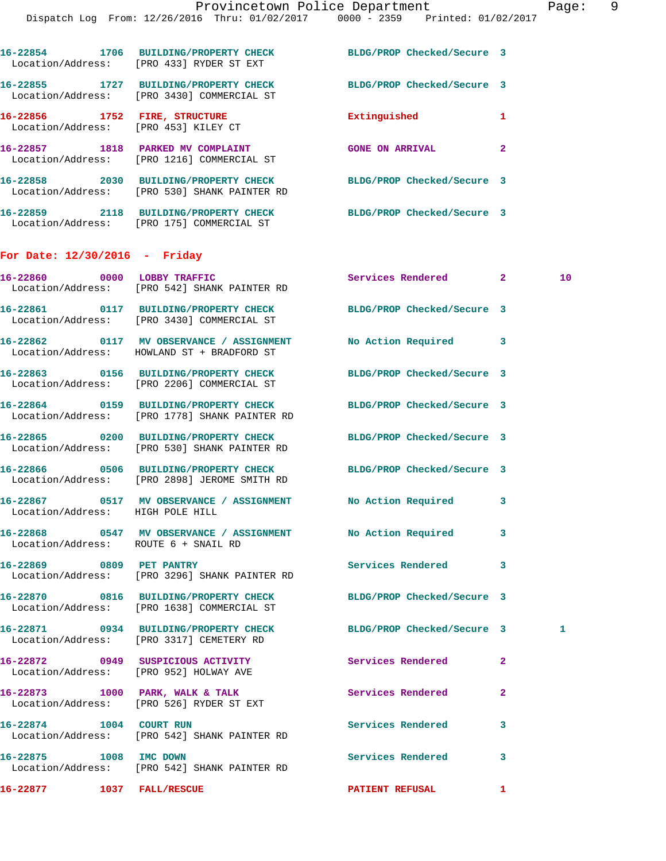| 1706<br>16-22854 | <b>BUILDING/PROPERTY CHECK</b><br>Location/Address: [PRO 433] RYDER ST EXT     | BLDG/PROP Checked/Secure 3 |   |
|------------------|--------------------------------------------------------------------------------|----------------------------|---|
| 1727<br>16-22855 | <b>BUILDING/PROPERTY CHECK</b><br>Location/Address: [PRO 3430] COMMERCIAL ST   | BLDG/PROP Checked/Secure 3 |   |
| 1752<br>16-22856 | FIRE, STRUCTURE<br>Location/Address: [PRO 453] KILEY CT                        | Extinguished               | 1 |
| 16-22857<br>1818 | PARKED MV COMPLAINT<br>Location/Address: [PRO 1216] COMMERCIAL ST              | <b>GONE ON ARRIVAL</b>     | 2 |
| 2030<br>16-22858 | <b>BUILDING/PROPERTY CHECK</b><br>Location/Address: [PRO 530] SHANK PAINTER RD | BLDG/PROP Checked/Secure 3 |   |
| 2118<br>16-22859 | BUILDING/PROPERTY CHECK<br>Location/Address: [PRO 175] COMMERCIAL ST           | BLDG/PROP Checked/Secure 3 |   |

## **For Date: 12/30/2016 - Friday**

|                                      | 16-22860 0000 LOBBY TRAFFIC<br>Location/Address: [PRO 542] SHANK PAINTER RD                                      | Services Rendered 2        |                | 10           |
|--------------------------------------|------------------------------------------------------------------------------------------------------------------|----------------------------|----------------|--------------|
|                                      | 16-22861 0117 BUILDING/PROPERTY CHECK BLDG/PROP Checked/Secure 3<br>Location/Address: [PRO 3430] COMMERCIAL ST   |                            |                |              |
|                                      | 16-22862 0117 MV OBSERVANCE / ASSIGNMENT<br>Location/Address: HOWLAND ST + BRADFORD ST                           | No Action Required 3       |                |              |
|                                      | 16-22863 0156 BUILDING/PROPERTY CHECK BLDG/PROP Checked/Secure 3<br>Location/Address: [PRO 2206] COMMERCIAL ST   |                            |                |              |
|                                      | 16-22864 0159 BUILDING/PROPERTY CHECK<br>Location/Address: [PRO 1778] SHANK PAINTER RD                           | BLDG/PROP Checked/Secure 3 |                |              |
|                                      | 16-22865 0200 BUILDING/PROPERTY CHECK BLDG/PROP Checked/Secure 3<br>Location/Address: [PRO 530] SHANK PAINTER RD |                            |                |              |
|                                      | 16-22866 0506 BUILDING/PROPERTY CHECK BLDG/PROP Checked/Secure 3<br>Location/Address: [PRO 2898] JEROME SMITH RD |                            |                |              |
| Location/Address: HIGH POLE HILL     | 16-22867 0517 MV OBSERVANCE / ASSIGNMENT No Action Required 3                                                    |                            |                |              |
| Location/Address: ROUTE 6 + SNAIL RD | 16-22868 0547 MV OBSERVANCE / ASSIGNMENT No Action Required 3                                                    |                            |                |              |
| 16-22869 0809 PET PANTRY             | Location/Address: [PRO 3296] SHANK PAINTER RD                                                                    | Services Rendered 3        |                |              |
|                                      | 16-22870 0816 BUILDING/PROPERTY CHECK BLDG/PROP Checked/Secure 3<br>Location/Address: [PRO 1638] COMMERCIAL ST   |                            |                |              |
|                                      | 16-22871 0934 BUILDING/PROPERTY CHECK<br>Location/Address: [PRO 3317] CEMETERY RD                                | BLDG/PROP Checked/Secure 3 |                | $\mathbf{1}$ |
|                                      | 16-22872 0949 SUSPICIOUS ACTIVITY<br>Location/Address: [PRO 952] HOLWAY AVE                                      | Services Rendered          | $\overline{2}$ |              |
|                                      | 16-22873 1000 PARK, WALK & TALK<br>Location/Address: [PRO 526] RYDER ST EXT                                      | Services Rendered          | $\overline{2}$ |              |
| 16-22874 1004 COURT RUN              | Location/Address: [PRO 542] SHANK PAINTER RD                                                                     | <b>Services Rendered</b>   | 3              |              |
| 16-22875 1008 IMC DOWN               | Location/Address: [PRO 542] SHANK PAINTER RD                                                                     | Services Rendered 3        |                |              |
|                                      |                                                                                                                  | <b>PATIENT REFUSAL</b>     | 1              |              |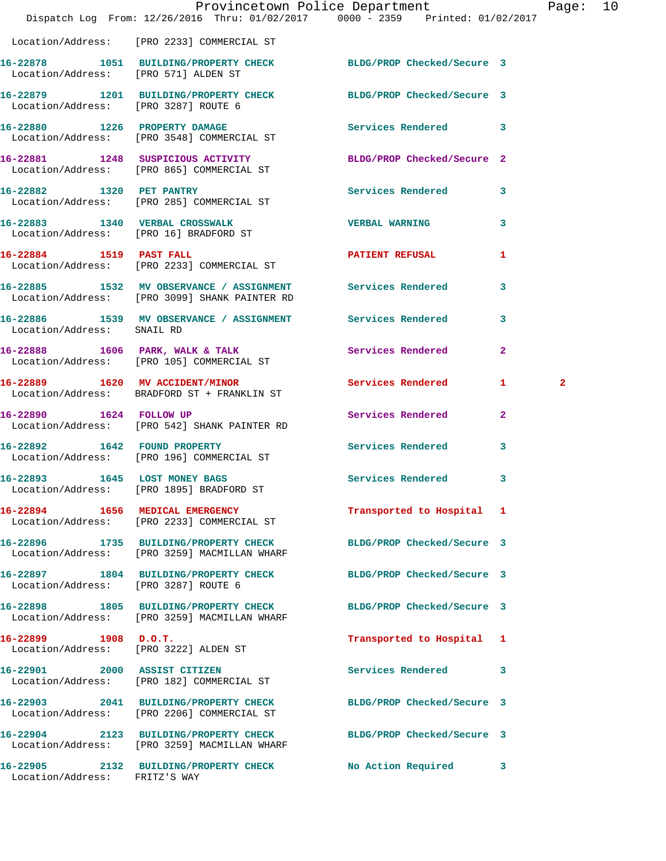|                                      | Dispatch Log From: 12/26/2016 Thru: 01/02/2017 0000 - 2359 Printed: 01/02/2017                                   | Provincetown Police Department |                | Page: 10       |  |
|--------------------------------------|------------------------------------------------------------------------------------------------------------------|--------------------------------|----------------|----------------|--|
|                                      | Location/Address: [PRO 2233] COMMERCIAL ST                                                                       |                                |                |                |  |
| Location/Address: [PRO 571] ALDEN ST | 16-22878 1051 BUILDING/PROPERTY CHECK BLDG/PROP Checked/Secure 3                                                 |                                |                |                |  |
| Location/Address: [PRO 3287] ROUTE 6 | 16-22879 1201 BUILDING/PROPERTY CHECK BLDG/PROP Checked/Secure 3                                                 |                                |                |                |  |
|                                      | 16-22880 1226 PROPERTY DAMAGE<br>Location/Address: [PRO 3548] COMMERCIAL ST                                      | Services Rendered 3            |                |                |  |
|                                      | 16-22881 1248 SUSPICIOUS ACTIVITY<br>Location/Address: [PRO 865] COMMERCIAL ST                                   | BLDG/PROP Checked/Secure 2     |                |                |  |
|                                      | 16-22882 1320 PET PANTRY<br>Location/Address: [PRO 285] COMMERCIAL ST                                            | Services Rendered 3            |                |                |  |
|                                      | 16-22883 1340 VERBAL CROSSWALK<br>Location/Address: [PRO 16] BRADFORD ST                                         | <b>VERBAL WARNING</b>          | 3              |                |  |
|                                      | 16-22884 1519 PAST FALL<br>Location/Address: [PRO 2233] COMMERCIAL ST                                            | <b>PATIENT REFUSAL</b>         | 1              |                |  |
|                                      | 16-22885 1532 MV OBSERVANCE / ASSIGNMENT Services Rendered<br>Location/Address: [PRO 3099] SHANK PAINTER RD      |                                | 3              |                |  |
| Location/Address: SNAIL RD           | 16-22886 1539 MV OBSERVANCE / ASSIGNMENT Services Rendered 3                                                     |                                |                |                |  |
|                                      | 16-22888 1606 PARK, WALK & TALK<br>Location/Address: [PRO 105] COMMERCIAL ST                                     | Services Rendered              | $\overline{2}$ |                |  |
|                                      | 16-22889 1620 MV ACCIDENT/MINOR<br>Location/Address: BRADFORD ST + FRANKLIN ST                                   | Services Rendered 1            |                | $\overline{2}$ |  |
|                                      | 16-22890 1624 FOLLOW UP<br>Location/Address: [PRO 542] SHANK PAINTER RD                                          | Services Rendered              | $\mathbf{2}$   |                |  |
| 16-22892 1642 FOUND PROPERTY         | Location/Address: [PRO 196] COMMERCIAL ST                                                                        | Services Rendered              | 3              |                |  |
| 16-22893 1645 LOST MONEY BAGS        | Location/Address: [PRO 1895] BRADFORD ST                                                                         | Services Rendered              | 3              |                |  |
|                                      | 16-22894 1656 MEDICAL EMERGENCY<br>Location/Address: [PRO 2233] COMMERCIAL ST                                    | Transported to Hospital 1      |                |                |  |
|                                      | 16-22896 1735 BUILDING/PROPERTY CHECK BLDG/PROP Checked/Secure 3<br>Location/Address: [PRO 3259] MACMILLAN WHARF |                                |                |                |  |
| Location/Address: [PRO 3287] ROUTE 6 | 16-22897 1804 BUILDING/PROPERTY CHECK                                                                            | BLDG/PROP Checked/Secure 3     |                |                |  |
|                                      | 16-22898 1805 BUILDING/PROPERTY CHECK<br>Location/Address: [PRO 3259] MACMILLAN WHARF                            | BLDG/PROP Checked/Secure 3     |                |                |  |
| $16 - 22899$ 1908 D.O.T.             | Location/Address: [PRO 3222] ALDEN ST                                                                            | Transported to Hospital 1      |                |                |  |
|                                      | 16-22901 2000 ASSIST CITIZEN<br>Location/Address: [PRO 182] COMMERCIAL ST                                        | Services Rendered              | 3              |                |  |
|                                      | 16-22903 2041 BUILDING/PROPERTY CHECK<br>Location/Address: [PRO 2206] COMMERCIAL ST                              | BLDG/PROP Checked/Secure 3     |                |                |  |
|                                      | 16-22904 2123 BUILDING/PROPERTY CHECK<br>Location/Address: [PRO 3259] MACMILLAN WHARF                            | BLDG/PROP Checked/Secure 3     |                |                |  |
| Location/Address: FRITZ'S WAY        | 16-22905 2132 BUILDING/PROPERTY CHECK No Action Required 3                                                       |                                |                |                |  |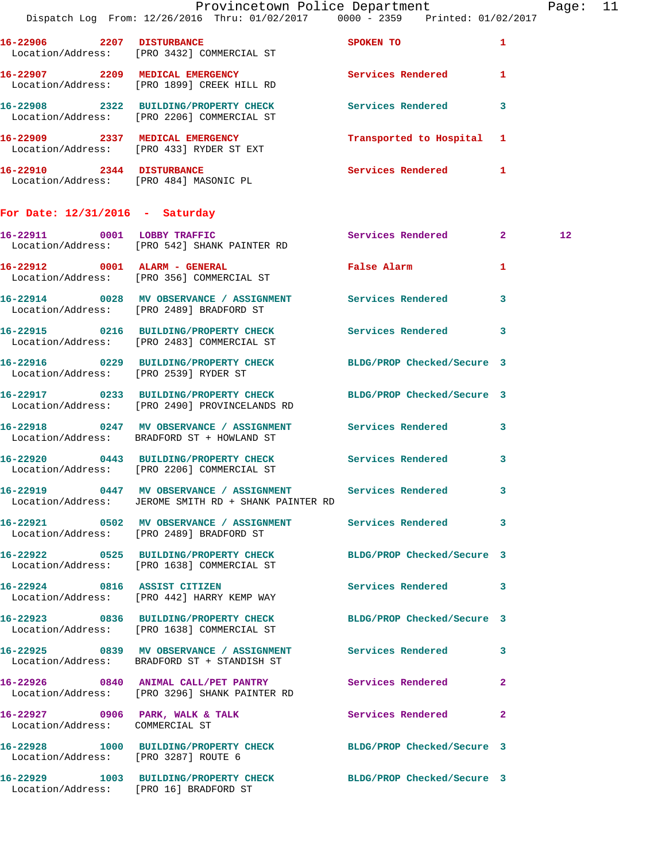|                                        | Provincetown Police Department<br>Dispatch Log From: 12/26/2016 Thru: 01/02/2017 0000 - 2359 Printed: 01/02/2017     |                             |                | Page: 11          |  |
|----------------------------------------|----------------------------------------------------------------------------------------------------------------------|-----------------------------|----------------|-------------------|--|
|                                        |                                                                                                                      |                             |                |                   |  |
|                                        | 16-22906 2207 DISTURBANCE<br>Location/Address: [PRO 3432] COMMERCIAL ST                                              | SPOKEN TO AND THE SPOKEN TO | $\mathbf{1}$   |                   |  |
|                                        | 16-22907 2209 MEDICAL EMERGENCY Services Rendered 1<br>Location/Address: [PRO 1899] CREEK HILL RD                    |                             |                |                   |  |
|                                        | 16-22908 2322 BUILDING/PROPERTY CHECK Services Rendered 3<br>Location/Address: [PRO 2206] COMMERCIAL ST              |                             |                |                   |  |
|                                        | 16-22909 2337 MEDICAL EMERGENCY<br>Location/Address: [PRO 433] RYDER ST EXT                                          | Transported to Hospital 1   |                |                   |  |
|                                        | 16-22910 2344 DISTURBANCE<br>Location/Address: [PRO 484] MASONIC PL                                                  | Services Rendered 1         |                |                   |  |
| For Date: $12/31/2016$ - Saturday      |                                                                                                                      |                             |                |                   |  |
|                                        | 16-22911 0001 LOBBY TRAFFIC<br>Location/Address: [PRO 542] SHANK PAINTER RD                                          | Services Rendered 2         |                | $12 \overline{ }$ |  |
|                                        | 16-22912 0001 ALARM - GENERAL<br>Location/Address: [PRO 356] COMMERCIAL ST                                           | False Alarm                 | 1              |                   |  |
|                                        | 16-22914 0028 MV OBSERVANCE / ASSIGNMENT Services Rendered 3<br>Location/Address: [PRO 2489] BRADFORD ST             |                             |                |                   |  |
|                                        | 16-22915 0216 BUILDING/PROPERTY CHECK Services Rendered 3<br>Location/Address: [PRO 2483] COMMERCIAL ST              |                             |                |                   |  |
| Location/Address: [PRO 2539] RYDER ST  | 16-22916 0229 BUILDING/PROPERTY CHECK BLDG/PROP Checked/Secure 3                                                     |                             |                |                   |  |
|                                        | 16-22917 0233 BUILDING/PROPERTY CHECK BLDG/PROP Checked/Secure 3<br>Location/Address: [PRO 2490] PROVINCELANDS RD    |                             |                |                   |  |
|                                        | 16-22918 0247 MV OBSERVANCE / ASSIGNMENT Services Rendered 3<br>Location/Address: BRADFORD ST + HOWLAND ST           |                             |                |                   |  |
|                                        | 16-22920 0443 BUILDING/PROPERTY CHECK Services Rendered 3<br>Location/Address: [PRO 2206] COMMERCIAL ST              |                             |                |                   |  |
|                                        | 16-22919 0447 MV OBSERVANCE / ASSIGNMENT Services Rendered 3<br>Location/Address: JEROME SMITH RD + SHANK PAINTER RD |                             |                |                   |  |
|                                        | 16-22921 0502 MV OBSERVANCE / ASSIGNMENT Services Rendered 3<br>Location/Address: [PRO 2489] BRADFORD ST             |                             |                |                   |  |
|                                        | 16-22922 0525 BUILDING/PROPERTY CHECK BLDG/PROP Checked/Secure 3<br>Location/Address: [PRO 1638] COMMERCIAL ST       |                             |                |                   |  |
|                                        | 16-22924 0816 ASSIST CITIZEN<br>Location/Address: [PRO 442] HARRY KEMP WAY                                           | Services Rendered 3         |                |                   |  |
|                                        | 16-22923 0836 BUILDING/PROPERTY CHECK BLDG/PROP Checked/Secure 3<br>Location/Address: [PRO 1638] COMMERCIAL ST       |                             |                |                   |  |
|                                        | 16-22925 0839 MV OBSERVANCE / ASSIGNMENT Services Rendered 3<br>Location/Address: BRADFORD ST + STANDISH ST          |                             |                |                   |  |
|                                        | 16-22926 0840 ANIMAL CALL/PET PANTRY Services Rendered<br>Location/Address: [PRO 3296] SHANK PAINTER RD              |                             | $\overline{2}$ |                   |  |
| Location/Address: COMMERCIAL ST        | 16-22927 0906 PARK, WALK & TALK                                                                                      | Services Rendered           | $\mathbf{2}$   |                   |  |
| Location/Address: [PRO 3287] ROUTE 6   | 16-22928 1000 BUILDING/PROPERTY CHECK BLDG/PROP Checked/Secure 3                                                     |                             |                |                   |  |
| Location/Address: [PRO 16] BRADFORD ST | 16-22929 1003 BUILDING/PROPERTY CHECK BLDG/PROP Checked/Secure 3                                                     |                             |                |                   |  |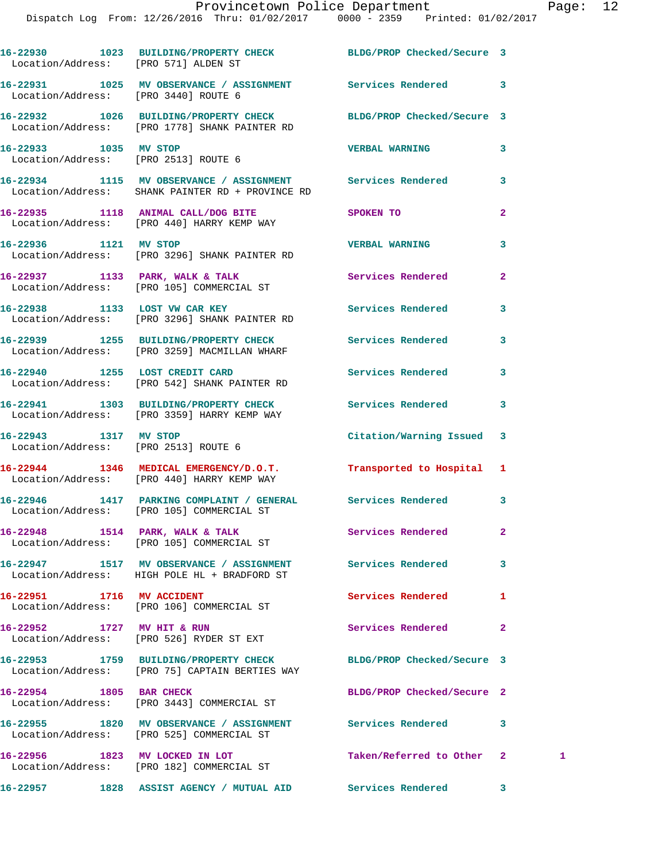|                                                               | 16-22930 1023 BUILDING/PROPERTY CHECK BLDG/PROP Checked/Secure 3<br>Location/Address: [PRO 571] ALDEN ST          |                            |                |   |
|---------------------------------------------------------------|-------------------------------------------------------------------------------------------------------------------|----------------------------|----------------|---|
| Location/Address: [PRO 3440] ROUTE 6                          | 16-22931 1025 MV OBSERVANCE / ASSIGNMENT Services Rendered                                                        |                            | 3              |   |
|                                                               | 16-22932 1026 BUILDING/PROPERTY CHECK BLDG/PROP Checked/Secure 3<br>Location/Address: [PRO 1778] SHANK PAINTER RD |                            |                |   |
| 16-22933 1035 MV STOP<br>Location/Address: [PRO 2513] ROUTE 6 |                                                                                                                   | <b>VERBAL WARNING</b>      | 3              |   |
|                                                               | 16-22934 1115 MV OBSERVANCE / ASSIGNMENT Services Rendered<br>Location/Address: SHANK PAINTER RD + PROVINCE RD    |                            | 3              |   |
|                                                               | 16-22935 1118 ANIMAL CALL/DOG BITE<br>Location/Address: [PRO 440] HARRY KEMP WAY                                  | SPOKEN TO                  | $\overline{a}$ |   |
| 16-22936 1121 MV STOP                                         | Location/Address: [PRO 3296] SHANK PAINTER RD                                                                     | <b>VERBAL WARNING</b>      | 3              |   |
|                                                               | 16-22937 1133 PARK, WALK & TALK<br>Location/Address: [PRO 105] COMMERCIAL ST                                      | Services Rendered          | $\overline{a}$ |   |
|                                                               | 16-22938 1133 LOST VW CAR KEY<br>Location/Address: [PRO 3296] SHANK PAINTER RD                                    | Services Rendered          | 3              |   |
|                                                               | 16-22939 1255 BUILDING/PROPERTY CHECK Services Rendered<br>Location/Address: [PRO 3259] MACMILLAN WHARF           |                            | 3              |   |
|                                                               | 16-22940 1255 LOST CREDIT CARD<br>Location/Address: [PRO 542] SHANK PAINTER RD                                    | Services Rendered          | 3              |   |
|                                                               | 16-22941 1303 BUILDING/PROPERTY CHECK Services Rendered<br>Location/Address: [PRO 3359] HARRY KEMP WAY            |                            | 3              |   |
| 16-22943 1317 MV STOP<br>Location/Address: [PRO 2513] ROUTE 6 |                                                                                                                   | Citation/Warning Issued    | 3              |   |
|                                                               | 16-22944 1346 MEDICAL EMERGENCY/D.O.T.<br>Location/Address: [PRO 440] HARRY KEMP WAY                              | Transported to Hospital 1  |                |   |
|                                                               | 16-22946 1417 PARKING COMPLAINT / GENERAL Services Rendered<br>Location/Address: [PRO 105] COMMERCIAL ST          |                            | 3              |   |
|                                                               | 16-22948 1514 PARK, WALK & TALK<br>Location/Address: [PRO 105] COMMERCIAL ST                                      | Services Rendered          | $\mathbf{2}$   |   |
|                                                               | 16-22947 1517 MV OBSERVANCE / ASSIGNMENT Services Rendered<br>Location/Address: HIGH POLE HL + BRADFORD ST        |                            | 3              |   |
| 16-22951 1716 MV ACCIDENT                                     | Location/Address: [PRO 106] COMMERCIAL ST                                                                         | <b>Services Rendered</b>   | 1              |   |
| 16-22952 1727 MV HIT & RUN                                    | Location/Address: [PRO 526] RYDER ST EXT                                                                          | Services Rendered          | $\mathbf{2}$   |   |
|                                                               | 16-22953 1759 BUILDING/PROPERTY CHECK<br>Location/Address: [PRO 75] CAPTAIN BERTIES WAY                           | BLDG/PROP Checked/Secure 3 |                |   |
| 16-22954 1805 BAR CHECK                                       | Location/Address: [PRO 3443] COMMERCIAL ST                                                                        | BLDG/PROP Checked/Secure 2 |                |   |
|                                                               | 16-22955 1820 MV OBSERVANCE / ASSIGNMENT Services Rendered<br>Location/Address: [PRO 525] COMMERCIAL ST           |                            | 3              |   |
|                                                               | 16-22956 1823 MV LOCKED IN LOT<br>Location/Address: [PRO 182] COMMERCIAL ST                                       | Taken/Referred to Other    | $\overline{2}$ | 1 |
|                                                               | 16-22957 1828 ASSIST AGENCY / MUTUAL AID Services Rendered 3                                                      |                            |                |   |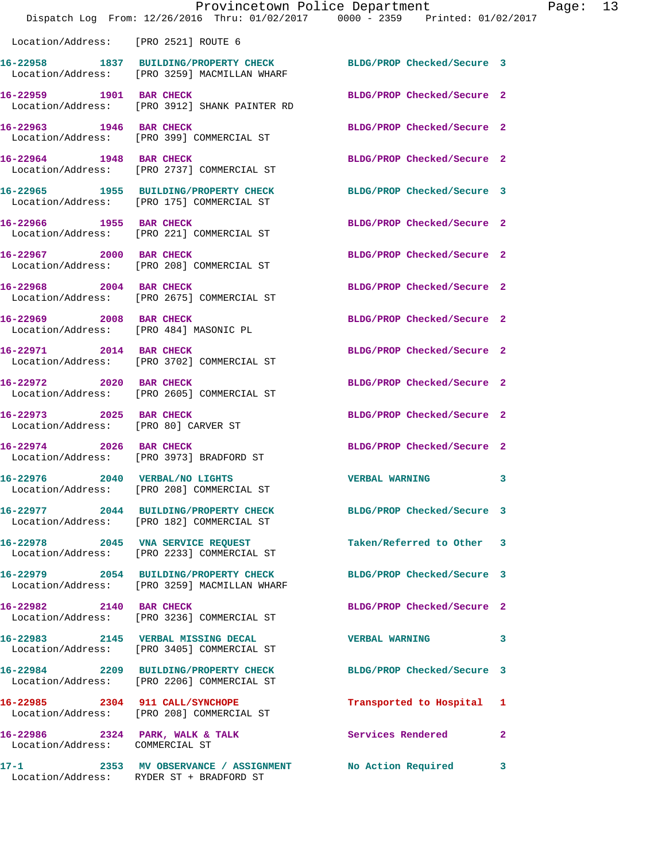|                                                                 | Provincetown Police Department<br>Dispatch Log From: 12/26/2016 Thru: 01/02/2017 0000 - 2359 Printed: 01/02/2017 |                            |              |
|-----------------------------------------------------------------|------------------------------------------------------------------------------------------------------------------|----------------------------|--------------|
| Location/Address: [PRO 2521] ROUTE 6                            |                                                                                                                  |                            |              |
|                                                                 | 16-22958 1837 BUILDING/PROPERTY CHECK BLDG/PROP Checked/Secure 3<br>Location/Address: [PRO 3259] MACMILLAN WHARF |                            |              |
| 16-22959 1901 BAR CHECK                                         | Location/Address: [PRO 3912] SHANK PAINTER RD                                                                    | BLDG/PROP Checked/Secure 2 |              |
| 16-22963 1946 BAR CHECK                                         | Location/Address: [PRO 399] COMMERCIAL ST                                                                        | BLDG/PROP Checked/Secure 2 |              |
| 16-22964 1948 BAR CHECK                                         | Location/Address: [PRO 2737] COMMERCIAL ST                                                                       | BLDG/PROP Checked/Secure 2 |              |
|                                                                 | 16-22965 1955 BUILDING/PROPERTY CHECK<br>Location/Address: [PRO 175] COMMERCIAL ST                               | BLDG/PROP Checked/Secure 3 |              |
| 16-22966 1955 BAR CHECK                                         | Location/Address: [PRO 221] COMMERCIAL ST                                                                        | BLDG/PROP Checked/Secure 2 |              |
| 16-22967 2000 BAR CHECK                                         | Location/Address: [PRO 208] COMMERCIAL ST                                                                        | BLDG/PROP Checked/Secure 2 |              |
| 16-22968 2004 BAR CHECK                                         | Location/Address: [PRO 2675] COMMERCIAL ST                                                                       | BLDG/PROP Checked/Secure 2 |              |
| 16-22969 2008 BAR CHECK                                         | Location/Address: [PRO 484] MASONIC PL                                                                           | BLDG/PROP Checked/Secure 2 |              |
| 16-22971 2014 BAR CHECK                                         | Location/Address: [PRO 3702] COMMERCIAL ST                                                                       | BLDG/PROP Checked/Secure 2 |              |
| 16-22972 2020 BAR CHECK                                         | Location/Address: [PRO 2605] COMMERCIAL ST                                                                       | BLDG/PROP Checked/Secure 2 |              |
| 16-22973 2025 BAR CHECK<br>Location/Address: [PRO 80] CARVER ST |                                                                                                                  | BLDG/PROP Checked/Secure 2 |              |
|                                                                 | 16-22974 2026 BAR CHECK<br>Location/Address: [PRO 3973] BRADFORD ST                                              | BLDG/PROP Checked/Secure 2 |              |
| 16-22976 2040 VERBAL/NO LIGHTS                                  | Location/Address: [PRO 208] COMMERCIAL ST                                                                        | <b>VERBAL WARNING</b>      | 3            |
|                                                                 | 16-22977 2044 BUILDING/PROPERTY CHECK BLDG/PROP Checked/Secure 3<br>Location/Address: [PRO 182] COMMERCIAL ST    |                            |              |
|                                                                 | 16-22978 2045 VNA SERVICE REQUEST<br>Location/Address: [PRO 2233] COMMERCIAL ST                                  | Taken/Referred to Other    | 3            |
|                                                                 | 16-22979 2054 BUILDING/PROPERTY CHECK<br>Location/Address: [PRO 3259] MACMILLAN WHARF                            | BLDG/PROP Checked/Secure 3 |              |
| 16-22982 2140 BAR CHECK                                         | Location/Address: [PRO 3236] COMMERCIAL ST                                                                       | BLDG/PROP Checked/Secure 2 |              |
|                                                                 | 16-22983 2145 VERBAL MISSING DECAL<br>Location/Address: [PRO 3405] COMMERCIAL ST                                 | <b>VERBAL WARNING</b>      | 3            |
|                                                                 | 16-22984 2209 BUILDING/PROPERTY CHECK BLDG/PROP Checked/Secure 3<br>Location/Address: [PRO 2206] COMMERCIAL ST   |                            |              |
|                                                                 | 16-22985 2304 911 CALL/SYNCHOPE<br>Location/Address: [PRO 208] COMMERCIAL ST                                     | Transported to Hospital    | 1            |
| Location/Address: COMMERCIAL ST                                 | $16-22986$ 2324 PARK, WALK & TALK                                                                                | Services Rendered          | $\mathbf{2}$ |
|                                                                 | 17-1 2353 MV OBSERVANCE / ASSIGNMENT No Action Required<br>Location/Address: RYDER ST + BRADFORD ST              |                            | 3            |

Page:  $13$ <br>2017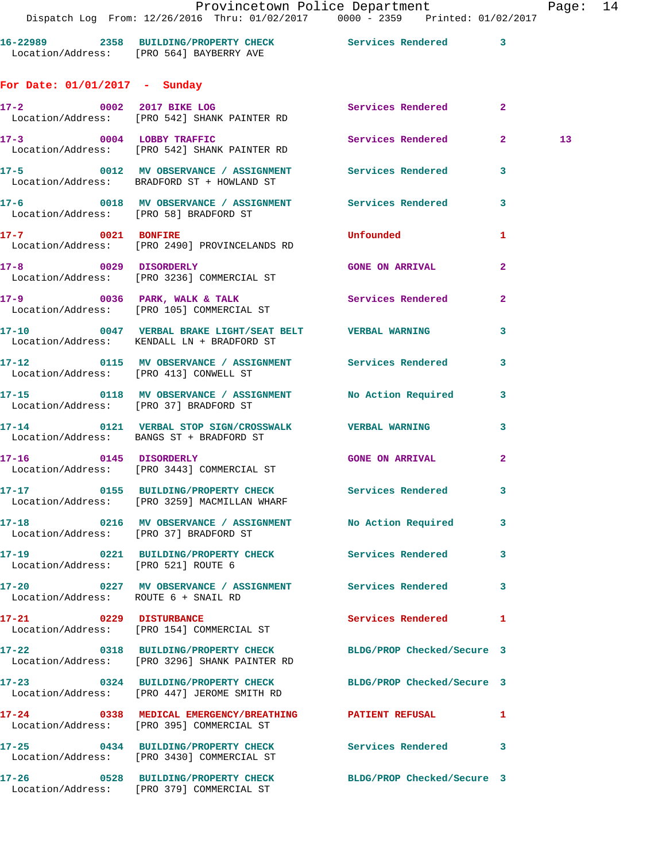| 16-22989          | 2358 BUILDING/PROPERTY CHECK | Services Rendered |  |
|-------------------|------------------------------|-------------------|--|
| Location/Address: | [PRO 564] BAYBERRY AVE       |                   |  |
|                   |                              |                   |  |

## **For Date: 01/01/2017 - Sunday**

|                                      | 17-2 0002 2017 BIKE LOG Services Rendered<br>Location/Address: [PRO 542] SHANK PAINTER RD                      |                            | $\mathbf{2}$ |                 |
|--------------------------------------|----------------------------------------------------------------------------------------------------------------|----------------------------|--------------|-----------------|
|                                      | 17-3 0004 LOBBY TRAFFIC<br>Location/Address: [PRO 542] SHANK PAINTER RD                                        | Services Rendered 2        |              | 13 <sub>1</sub> |
|                                      | 17-5 0012 MV OBSERVANCE / ASSIGNMENT Services Rendered<br>Location/Address: BRADFORD ST + HOWLAND ST           |                            | $\mathbf{3}$ |                 |
|                                      | 17-6 0018 MV OBSERVANCE / ASSIGNMENT Services Rendered 3<br>Location/Address: [PRO 58] BRADFORD ST             |                            |              |                 |
| 17-7 0021 BONFIRE                    | Location/Address: [PRO 2490] PROVINCELANDS RD                                                                  | <b>Unfounded</b>           | 1            |                 |
| 17-8 0029 DISORDERLY                 | Location/Address: [PRO 3236] COMMERCIAL ST                                                                     | GONE ON ARRIVAL 2          |              |                 |
|                                      | 17-9 0036 PARK, WALK & TALK<br>Location/Address: [PRO 105] COMMERCIAL ST                                       | Services Rendered          | $\mathbf{2}$ |                 |
|                                      | 17-10 0047 VERBAL BRAKE LIGHT/SEAT BELT VERBAL WARNING<br>Location/Address: KENDALL LN + BRADFORD ST           |                            | 3            |                 |
|                                      | 17-12 0115 MV OBSERVANCE / ASSIGNMENT Services Rendered<br>Location/Address: [PRO 413] CONWELL ST              |                            | 3            |                 |
|                                      | 17-15 0118 MV OBSERVANCE / ASSIGNMENT No Action Required<br>Location/Address: [PRO 37] BRADFORD ST             |                            | 3            |                 |
|                                      | 17-14 0121 VERBAL STOP SIGN/CROSSWALK VERBAL WARNING<br>Location/Address: BANGS ST + BRADFORD ST               |                            | 3            |                 |
|                                      | 17-16 0145 DISORDERLY<br>Location/Address: [PRO 3443] COMMERCIAL ST                                            | <b>GONE ON ARRIVAL</b>     | $\mathbf{2}$ |                 |
|                                      | 17-17 0155 BUILDING/PROPERTY CHECK Services Rendered 3<br>Location/Address: [PRO 3259] MACMILLAN WHARF         |                            |              |                 |
|                                      | 17-18 0216 MV OBSERVANCE / ASSIGNMENT No Action Required<br>Location/Address: [PRO 37] BRADFORD ST             |                            | 3            |                 |
| Location/Address: [PRO 521] ROUTE 6  | 17-19 		 0221 BUILDING/PROPERTY CHECK Services Rendered 3                                                      |                            |              |                 |
| Location/Address: ROUTE 6 + SNAIL RD | 17-20 0227 MV OBSERVANCE / ASSIGNMENT Services Rendered                                                        |                            | 3            |                 |
| 0229 DISTURBANCE<br>17-21            | Location/Address: [PRO 154] COMMERCIAL ST                                                                      | Services Rendered          | 1            |                 |
|                                      | 17-22 0318 BUILDING/PROPERTY CHECK BLDG/PROP Checked/Secure 3<br>Location/Address: [PRO 3296] SHANK PAINTER RD |                            |              |                 |
| 17-23                                | 0324 BUILDING/PROPERTY CHECK<br>Location/Address: [PRO 447] JEROME SMITH RD                                    | BLDG/PROP Checked/Secure 3 |              |                 |
|                                      | 17-24 0338 MEDICAL EMERGENCY/BREATHING PATIENT REFUSAL<br>Location/Address: [PRO 395] COMMERCIAL ST            |                            | 1            |                 |
|                                      | 17-25 0434 BUILDING/PROPERTY CHECK<br>Location/Address: [PRO 3430] COMMERCIAL ST                               | Services Rendered          | 3            |                 |
|                                      | 17-26 0528 BUILDING/PROPERTY CHECK<br>Location/Address: [PRO 379] COMMERCIAL ST                                | BLDG/PROP Checked/Secure 3 |              |                 |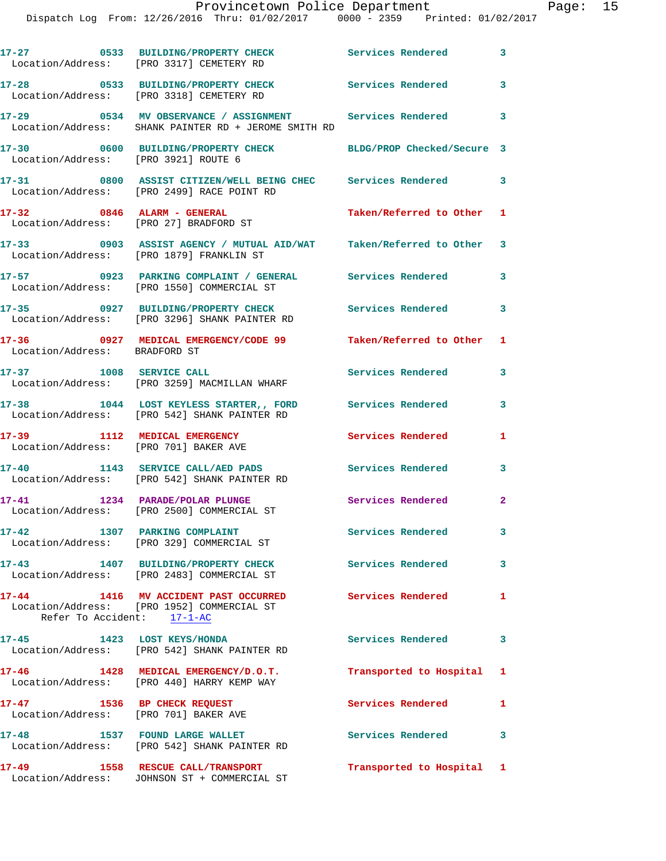|                                         | 17-27 0533 BUILDING/PROPERTY CHECK<br>Location/Address: [PRO 3317] CEMETERY RD                                       | Services Rendered 3       |                         |
|-----------------------------------------|----------------------------------------------------------------------------------------------------------------------|---------------------------|-------------------------|
|                                         | 17-28 0533 BUILDING/PROPERTY CHECK<br>Location/Address: [PRO 3318] CEMETERY RD                                       | <b>Services Rendered</b>  | 3                       |
|                                         | 17-29 0534 MV OBSERVANCE / ASSIGNMENT Services Rendered 3<br>Location/Address: SHANK PAINTER RD + JEROME SMITH RD    |                           |                         |
| Location/Address: [PRO 3921] ROUTE 6    | 17-30 0600 BUILDING/PROPERTY CHECK BLDG/PROP Checked/Secure 3                                                        |                           |                         |
|                                         | 17-31 0800 ASSIST CITIZEN/WELL BEING CHEC Services Rendered 3<br>Location/Address: [PRO 2499] RACE POINT RD          |                           |                         |
|                                         | $17-32$ 0846 ALARM - GENERAL<br>Location/Address: [PRO 27] BRADFORD ST                                               | Taken/Referred to Other 1 |                         |
|                                         | 17-33 0903 ASSIST AGENCY / MUTUAL AID/WAT Taken/Referred to Other 3<br>Location/Address: [PRO 1879] FRANKLIN ST      |                           |                         |
|                                         | 17-57       0923   PARKING COMPLAINT / GENERAL      Services Rendered<br>Location/Address:   [PRO 1550]COMMERCIAL ST |                           | $\overline{\mathbf{3}}$ |
|                                         | 17-35 0927 BUILDING/PROPERTY CHECK<br>Location/Address: [PRO 3296] SHANK PAINTER RD                                  | <b>Services Rendered</b>  | 3                       |
| Location/Address: BRADFORD ST           | 17-36 0927 MEDICAL EMERGENCY/CODE 99 Taken/Referred to Other 1                                                       |                           |                         |
| 17-37 1008 SERVICE CALL                 | Location/Address: [PRO 3259] MACMILLAN WHARF                                                                         | Services Rendered         | 3                       |
|                                         | 17-38 1044 LOST KEYLESS STARTER,, FORD Services Rendered<br>Location/Address: [PRO 542] SHANK PAINTER RD             |                           | 3                       |
|                                         | 17-39 1112 MEDICAL EMERGENCY<br>Location/Address: [PRO 701] BAKER AVE                                                | Services Rendered         | 1                       |
| 17-40                                   | 1143 SERVICE CALL/AED PADS Services Rendered 3<br>Location/Address: [PRO 542] SHANK PAINTER RD                       |                           |                         |
|                                         | 17-41 1234 PARADE/POLAR PLUNGE<br>Location/Address: [PRO 2500] COMMERCIAL ST                                         | Services Rendered         | $\mathbf{2}$            |
|                                         | 17-42 1307 PARKING COMPLAINT<br>Location/Address: [PRO 329] COMMERCIAL ST                                            | Services Rendered         | 3                       |
|                                         | 17-43 1407 BUILDING/PROPERTY CHECK<br>Location/Address: [PRO 2483] COMMERCIAL ST                                     | Services Rendered 3       |                         |
| $17 - 44$<br>Refer To Accident: 17-1-AC | 1416 MV ACCIDENT PAST OCCURRED<br>Location/Address: [PRO 1952] COMMERCIAL ST                                         | <b>Services Rendered</b>  | 1                       |
| 17-45 1423 LOST KEYS/HONDA              | Location/Address: [PRO 542] SHANK PAINTER RD                                                                         | <b>Services Rendered</b>  | $\overline{\mathbf{3}}$ |
|                                         | 17-46 1428 MEDICAL EMERGENCY/D.O.T.<br>Location/Address: [PRO 440] HARRY KEMP WAY                                    | Transported to Hospital 1 |                         |
|                                         | 17-47 1536 BP CHECK REQUEST<br>Location/Address: [PRO 701] BAKER AVE                                                 | Services Rendered         | 1                       |
| 17-48                                   | 1537 FOUND LARGE WALLET<br>Location/Address: [PRO 542] SHANK PAINTER RD                                              | Services Rendered 3       |                         |
| 17-49                                   | 1558 RESCUE CALL/TRANSPORT                                                                                           | Transported to Hospital 1 |                         |

Location/Address: JOHNSON ST + COMMERCIAL ST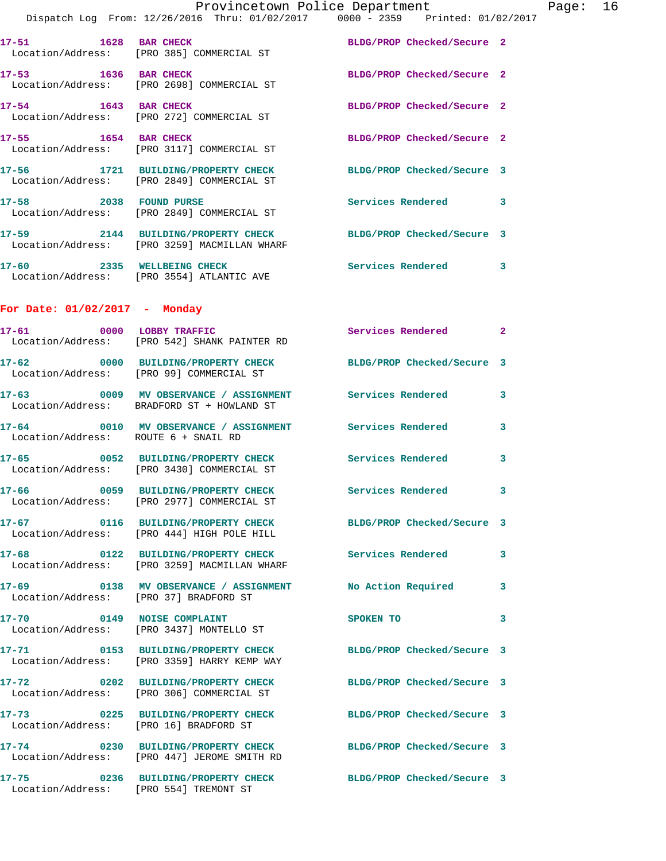|                                      |                                                                                    | Provincetown Police Department                                                 | Page: 16     |  |
|--------------------------------------|------------------------------------------------------------------------------------|--------------------------------------------------------------------------------|--------------|--|
|                                      |                                                                                    | Dispatch Log From: 12/26/2016 Thru: 01/02/2017 0000 - 2359 Printed: 01/02/2017 |              |  |
|                                      | Location/Address: [PRO 385] COMMERCIAL ST                                          | 17-51 1628 BAR CHECK BLDG/PROP Checked/Secure 2                                |              |  |
|                                      | 17-53 1636 BAR CHECK<br>Location/Address: [PRO 2698] COMMERCIAL ST                 | BLDG/PROP Checked/Secure 2                                                     |              |  |
|                                      | 17-54 1643 BAR CHECK<br>Location/Address: [PRO 272] COMMERCIAL ST                  | BLDG/PROP Checked/Secure 2                                                     |              |  |
| 17-55 1654 BAR CHECK                 | Location/Address: [PRO 3117] COMMERCIAL ST                                         | BLDG/PROP Checked/Secure 2                                                     |              |  |
|                                      | Location/Address: [PRO 2849] COMMERCIAL ST                                         | 17-56 1721 BUILDING/PROPERTY CHECK BLDG/PROP Checked/Secure 3                  |              |  |
|                                      | 17-58 2038 FOUND PURSE<br>Location/Address: [PRO 2849] COMMERCIAL ST               | Services Rendered 3                                                            |              |  |
|                                      | Location/Address: [PRO 3259] MACMILLAN WHARF                                       | 17-59 2144 BUILDING/PROPERTY CHECK BLDG/PROP Checked/Secure 3                  |              |  |
|                                      | 17-60 2335 WELLBEING CHECK<br>Location/Address: [PRO 3554] ATLANTIC AVE            | Services Rendered 3                                                            |              |  |
| For Date: $01/02/2017$ - Monday      |                                                                                    |                                                                                |              |  |
| $17 - 61$                            | 0000 LOBBY TRAFFIC<br>Location/Address: [PRO 542] SHANK PAINTER RD                 | Services Rendered 2                                                            |              |  |
|                                      | Location/Address: [PRO 99] COMMERCIAL ST                                           | 17-62 0000 BUILDING/PROPERTY CHECK BLDG/PROP Checked/Secure 3                  |              |  |
|                                      | Location/Address: BRADFORD ST + HOWLAND ST                                         | 17-63 0009 MV OBSERVANCE / ASSIGNMENT Services Rendered 3                      |              |  |
| Location/Address: ROUTE 6 + SNAIL RD |                                                                                    | 17-64 0010 MV OBSERVANCE / ASSIGNMENT Services Rendered                        | $\mathbf{3}$ |  |
|                                      | Location/Address: [PRO 3430] COMMERCIAL ST                                         | 17-65 6952 BUILDING/PROPERTY CHECK Services Rendered                           | $\mathbf{3}$ |  |
| 17-66                                | 0059 BUILDING/PROPERTY CHECK<br>Location/Address: [PRO 2977] COMMERCIAL ST         | Services Rendered                                                              | 3            |  |
| 17-67                                | 0116 BUILDING/PROPERTY CHECK<br>Location/Address: [PRO 444] HIGH POLE HILL         | BLDG/PROP Checked/Secure 3                                                     |              |  |
|                                      | 17-68 0122 BUILDING/PROPERTY CHECK<br>Location/Address: [PRO 3259] MACMILLAN WHARF | Services Rendered                                                              | 3            |  |
| 17-69                                | 0138 MV OBSERVANCE / ASSIGNMENT                                                    | No Action Required                                                             | 3            |  |

Location/Address: [PRO 37] BRADFORD ST

17-70 0149 NOISE COMPLAINT SPOKEN TO 3

Location/Address: [PRO 16] BRADFORD ST

Location/Address: [PRO 447] JEROME SMITH RD

Location/Address: [PRO 3437] MONTELLO ST

Location/Address: [PRO 3359] HARRY KEMP WAY

Location/Address: [PRO 306] COMMERCIAL ST

**17-75 0236 BUILDING/PROPERTY CHECK BLDG/PROP Checked/Secure 3**  Location/Address: [PRO 554] TREMONT ST

**17-71 0153 BUILDING/PROPERTY CHECK BLDG/PROP Checked/Secure 3** 

**17-72 0202 BUILDING/PROPERTY CHECK BLDG/PROP Checked/Secure 3** 

**17-73 0225 BUILDING/PROPERTY CHECK BLDG/PROP Checked/Secure 3** 

**17-74 0230 BUILDING/PROPERTY CHECK BLDG/PROP Checked/Secure 3**